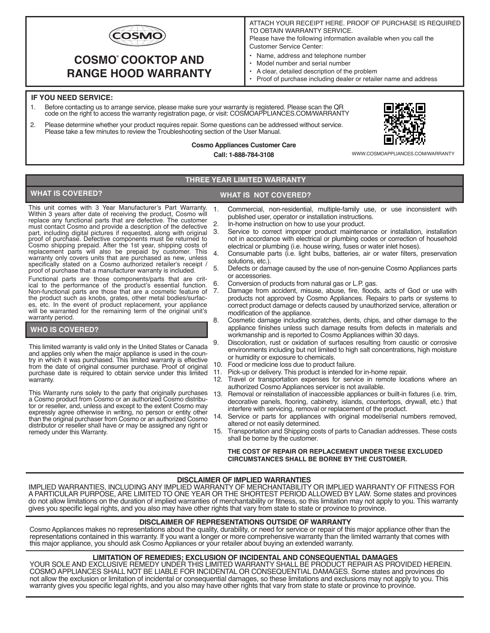

# **COSMO COOKTOP AND ® RANGE HOOD WARRANTY**

ATTACH YOUR RECEIPT HERE. PROOF OF PURCHASE IS REQUIRED TO OBTAIN WARRANTY SERVICE.

Please have the following information available when you call the Customer Service Center:

- Name, address and telephone number
- Model number and serial number
- A clear, detailed description of the problem
- Proof of purchase including dealer or retailer name and address

#### **IF YOU NEED SERVICE:**

- 1. Before contacting us to arrange service, please make sure your warranty is registered. Please scan the QR code on the right to access the warranty registration page, or visit: COSMOAPPLIANCES.COM/WARRANTY
- 2. Please determine whether your product requires repair. Some questions can be addressed without service. Please take a few minutes to review the Troubleshooting section of the User Manual.



**Cosmo Appliances Customer Care Call: 1-888-784-3108**

WWW.COSMOAPPLIANCES.COM/WARRANTY

### **THREE YEAR LIMITED WARRANTY**

## **WHAT IS COVERED? WHAT IS NOT COVERED?**

This unit comes with 3 Year Manufacturer's Part Warranty. Within 3 years after date of receiving the product, Cosmo will replace any functional parts that are defective. The customer must contact Cosmo and provide a description of the defective part, including digital pictures if requested, along with original proof of purchase. Defective components must be returned to<br>Cosmo shipping prepaid. After the 1st year, shipping costs of<br>replacement parts will also be prepaid by customer. This<br>warranty only covers units that are purchas specifically stated on a Cosmo authorized retailer's receipt / proof of purchase that a manufacturer warranty is included.

Functional parts are those components/parts that are critical to the performance of the product's essential function. Non-functional parts are those that are a cosmetic feature of the product such as knobs, grates, other metal bodies/surfaces, etc. In the event of product replacement, your appliance will be warranted for the remaining term of the original unit's warranty period.

#### **WHO IS COVERED?**

This limited warranty is valid only in the United States or Canada and applies only when the major appliance is used in the country in which it was purchased. This limited warranty is effective from the date of original consumer purchase. Proof of original purchase date is required to obtain service under this limited warranty.

This Warranty runs solely to the party that originally purchases a Cosmo product from Cosmo or an authorized Cosmo distributor or reseller, and, unless and except to the extent Cosmo may expressly agree otherwise in writing, no person or entity other than the original purchaser from Cosmo or an authorized Cosmo distributor or reseller shall have or may be assigned any right or remedy under this Warranty.

- 1. Commercial, non-residential, multiple-family use, or use inconsistent with published user, operator or installation instructions.
- 2. In-home instruction on how to use your product.<br>3. Service to correct improper product maintena
	- Service to correct improper product maintenance or installation, installation not in accordance with electrical or plumbing codes or correction of household electrical or plumbing (i.e. house wiring, fuses or water inlet hoses).
- 4. Consumable parts (i.e. light bulbs, batteries, air or water filters, preservation solutions, etc.).
- 5. Defects or damage caused by the use of non-genuine Cosmo Appliances parts or accessories.
- 6. Conversion of products from natural gas or L.P. gas.
	- Damage from accident, misuse, abuse, fire, floods, acts of God or use with products not approved by Cosmo Appliances. Repairs to parts or systems to correct product damage or defects caused by unauthorized service, alteration or modification of the appliance.
- 8. Cosmetic damage including scratches, dents, chips, and other damage to the appliance finishes unless such damage results from defects in materials and workmanship and is reported to Cosmo Appliances within 30 days.
- 9. Discoloration, rust or oxidation of surfaces resulting from caustic or corrosive environments including but not limited to high salt concentrations, high moisture or humidity or exposure to chemicals.
- 10. Food or medicine loss due to product failure.
- 11. Pick-up or delivery. This product is intended for in-home repair.
	- Travel or transportation expenses for service in remote locations where an authorized Cosmo Appliances servicer is not available.
- Removal or reinstallation of inaccessible appliances or built-in fixtures (i.e. trim, decorative panels, flooring, cabinetry, islands, countertops, drywall, etc.) that interfere with servicing, removal or replacement of the product.
- Service or parts for appliances with original model/serial numbers removed, altered or not easily determined.
- 15. Transportation and Shipping costs of parts to Canadian addresses. These costs shall be borne by the customer.

#### **THE COST OF REPAIR OR REPLACEMENT UNDER THESE EXCLUDED CIRCUMSTANCES SHALL BE BORNE BY THE CUSTOMER.**

#### **DISCLAIMER OF IMPLIED WARRANTIES**

IMPLIED WARRANTIES, INCLUDING ANY IMPLIED WARRANTY OF MERCHANTABILITY OR IMPLIED WARRANTY OF FITNESS FOR A PARTICULAR PURPOSE, ARE LIMITED TO ONE YEAR OR THE SHORTEST PERIOD ALLOWED BY LAW. Some states and provinces do not allow limitations on the duration of implied warranties of merchantability or fitness, so this limitation may not apply to you. This warranty gives you specific legal rights, and you also may have other rights that vary from state to state or province to province.

#### **DISCLAIMER OF REPRESENTATIONS OUTSIDE OF WARRANTY**

Cosmo Appliances makes no representations about the quality, durability, or need for service or repair of this major appliance other than the representations contained in this warranty. If you want a longer or more comprehensive warranty than the limited warranty that comes with this major appliance, you should ask Cosmo Appliances or your retailer about buying an extended warranty.

#### **LIMITATION OF REMEDIES; EXCLUSION OF INCIDENTAL AND CONSEQUENTIAL DAMAGES**

YOUR SOLE AND EXCLUSIVE REMEDY UNDER THIS LIMITED WARRANTY SHALL BE PRODUCT REPAIR AS PROVIDED HEREIN. COSMO APPLIANCES SHALL NOT BE LIABLE FOR INCIDENTAL OR CONSEQUENTIAL DAMAGES. Some states and provinces do not allow the exclusion or limitation of incidental or consequential damages, so these limitations and exclusions may not apply to you. This warranty gives you specific legal rights, and you also may have other rights that vary from state to state or province to province.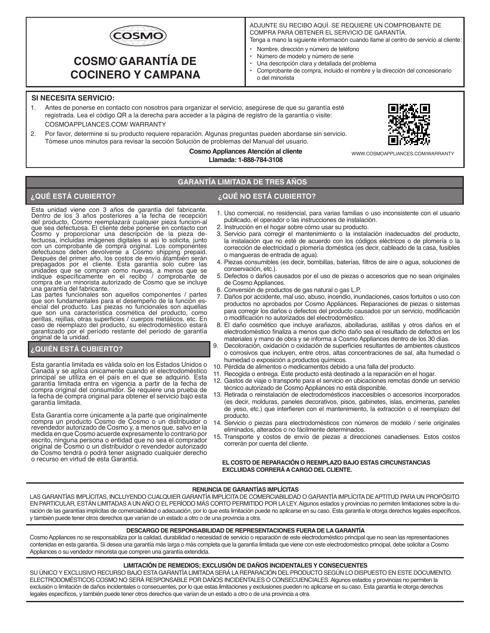

# **COSMO GARANTÍA DE ® COCINERO Y CAMPANA**

- ADJUNTE SU RECIBO AQUÍ. SE REQUIERE UN COMPROBANTE DE COMPRA PARA OBTENER EL SERVICIO DE GARANTÍA.
- Tenga a mano la siguiente información cuando llame al centro de servicio al cliente:
- Nombre, dirección y número de teléfono
- Número de modelo y número de serie
- Una descripción clara y detallada del problema
- Comprobante de compra, incluido el nombre y la dirección del concesionario o del minorista

## **SI NECESITA SERVICIO:**

- 1. Antes de ponerse en contacto con nosotros para organizar el servicio, asegúrese de que su garantía esté registrada. Lea el código QR a la derecha para acceder a la página de registro de la garantía o visite: COSMOAPPLIANCES.COM/ WARRANTY
- 2. Por favor, determine si su producto requiere reparación. Algunas preguntas pueden abordarse sin servicio. Tómese unos minutos para revisar la sección Solución de problemas del Manual del usuario.



#### **Cosmo Appliances Atención al cliente Llamada: 1-888-784-3108**

WWW.COSMOAPPLIANCES.COM/WARRANTY

# **GARANTÍA LIMITADA DE TRES AÑOS**

# **¿QUÉ ESTÁ CUBIERTO? ¿QUÉ NO ESTÁ CUBIERTO?**

Esta unidad viene con 3 años de garantía del fabricante. Dentro de los 3 años posteriores a la fecha de recepción del producto, Cosmo reemplazará cualquier pieza funcion-al que sea defectuosa. El cliente debe ponerse en contacto con Cosmo y proporcionar una descripción de la pieza de-fectuosa, incluidas imágenes digitales si así lo solicita, junto con un comprobante de compra original. Los componentes defectuosos deben devolverse a Cosmo shipping prepaid. Después del primer año, los costos de envío åtambién serán prepagados por el cliente. Esta garantía solo cubre las unidades que se compran como nuevas, a menos que se indique específicamente en el recibo / comprobante de compra de un minorista autorizado de Cosmo que se incluye una garantía del fabricante.

Las partes funcionales son aquellos componentes / partes que son fundamentales para el desempeño de la función esencial del producto. Las piezas no funcionales son aquellas<br>que son una característica cosmética del producto, como<br>perillas, rejillas, otras superficies / cuerpos metálicos, etc. En<br>caso de reemplazo del producto, su elec garantizado por el período restante del período de garantía original de la unidad.

#### **¿QUIÉN ESTÁ CUBIERTO?**

Esta garantía limitada es válida solo en los Estados Unidos o Canadá y se aplica únicamente cuando el electrodoméstico principal se utiliza en el país en el que se adquirió. Esta garantía limitada entra en vigencia a partir de la fecha de compra original del consumidor. Se requiere una prueba de la fecha de compra original para obtener el servicio bajo esta garantía limitada.

Esta Garantía corre únicamente a la parte que originalmente compra un producto Cosmo de Cosmo o un distribuidor o revendedor autorizado de Cosmo y, a menos que, salvo en la medida en que Cosmo acuerde expresamente lo contrario por escrito, ninguna persona o entidad que no sea el comprador original de Cosmo o un distribuidor o revendedor autorizado de Cosmo tendrá o podrá tener asignado cualquier derecho o recurso en virtud de esta Garantía.

- 1. Uso comercial, no residencial, para varias familias o uso inconsistente con el usuario publicado, el operador o las instrucciones de instalación.
- 2. Instrucción en el hogar sobre cómo usar su producto.
- 3. Servicio para corregir el mantenimiento o la instalación inadecuados del producto, la instalación que no esté de acuerdo con los códigos eléctricos o de plomería o la corrección de electricidad o plomería doméstica (es decir, cableado de la casa, fusibles o mangueras de entrada de agua).
- 4. Piezas consumibles (es decir, bombillas, baterías, filtros de aire o agua, soluciones de conservación, etc.).
- 5. Defectos o daños causados por el uso de piezas o accesorios que no sean originales de Cosmo Appliances.
- 6. Conversión de productos de gas natural o gas L.P.
- 7. Daños por accidente, mal uso, abuso, incendio, inundaciones, casos fortuitos o uso con productos no aprobados por Cosmo Appliances. Reparaciones de piezas o sistemas para corregir los daños o defectos del producto causados por un servicio, modificación o modificación no autorizados del electrodoméstico.
- 8. El daño cosmético que incluye arañazos, abolladuras, astillas y otros daños en el electrodoméstico finaliza a menos que dicho daño sea el resultado de defectos en los materiales y mano de obra y se informa a Cosmo Appliances dentro de los 30 días.
- 9. Decoloración, oxidación o oxidación de superficies resultantes de ambientes cáusticos o corrosivos que incluyen, entre otros, altas concentraciones de sal, alta humedad o humedad o exposición a productos químicos.
- 10. Pérdida de alimentos o medicamentos debido a una falla del producto.
- 11. Recogida o entrega. Este producto está destinado a la reparación en el hogar.
- 12. Gastos de viaje o transporte para el servicio en ubicaciones remotas donde un servicio técnico autorizado de Cosmo Appliances no está disponible.
- 13. Retirada o reinstalación de electrodomésticos inaccesibles o accesorios incorporados (es decir, molduras, paneles decorativos, pisos, gabinetes, islas, encimeras, paneles de yeso, etc.) que interfieren con el mantenimiento, la extracción o el reemplazo del producto.
- 14. Servicio o piezas para electrodomésticos con números de modelo / serie originales eliminados, alterados o no fácilmente determinados.
- 15. Transporte y costos de envío de piezas a direcciones canadienses. Estos costos correrán por cuenta del cliente.

#### **EL COSTO DE REPARACIÓN O REEMPLAZO BAJO ESTAS CIRCUNSTANCIAS EXCLUIDAS CORRERÁ A CARGO DEL CLIENTE.**

#### **RENUNCIA DE GARANTÍAS IMPLÍCITAS**

LAS GARANTÍAS IMPLÍCITAS, INCLUYENDO CUALQUIER GARANTÍA IMPLÍCITA DE COMERCIABILIDAD O GARANTÍA IMPLÍCITA DE APTITUD PARA UN PROPÓSITO EN PARTICULAR, ESTÁN LIMITADAS A UN AÑO O EL PERÍODO MÁS CORTO PERMITIDO POR LA LEY. Algunos estados y provincias no permiten limitaciones sobre la duración de las garantías implícitas de comerciabilidad o adecuación, por lo que esta limitación puede no aplicarse en su caso. Esta garantía le otorga derechos legales específicos, y también puede tener otros derechos que varían de un estado a otro o de una provincia a otra.

#### **DESCARGO DE RESPONSABILIDAD DE REPRESENTACIONES FUERA DE LA GARANTÍA**

Cosmo Appliances no se responsabiliza por la calidad, durabilidad o necesidad de servicio o reparación de este electrodoméstico principal que no sean las representaciones contenidas en esta garantía. Si desea una garantía más larga o más completa que la garantía limitada que viene con este electrodoméstico principal, debe solicitar a Cosmo Appliances o su vendedor minorista que compren una garantía extendida.

#### **LIMITACIÓN DE REMEDIOS; EXCLUSIÓN DE DAÑOS INCIDENTALES Y CONSECUENTES**

SU ÚNICO Y EXCLUSIVO RECURSO BAJO ESTA GARANTÍA LIMITADA SERÁ LA REPARACIÓN DEL PRODUCTO SEGÚN LO DISPUESTO EN ESTE DOCUMENTO. ELECTRODOMÉSTICOS COSMO NO SERÁ RESPONSABLE POR DAÑOS INCIDENTALES O CONSECUENCIALES. Algunos estados y provincias no permiten la exclusión o limitación de daños incidentales o consecuentes, por lo que estas limitaciones y exclusiones pueden no aplicarse en su caso. Esta garantía le otorga derechos legales específicos, y también puede tener otros derechos que varían de un estado a otro o de una provincia a otra.